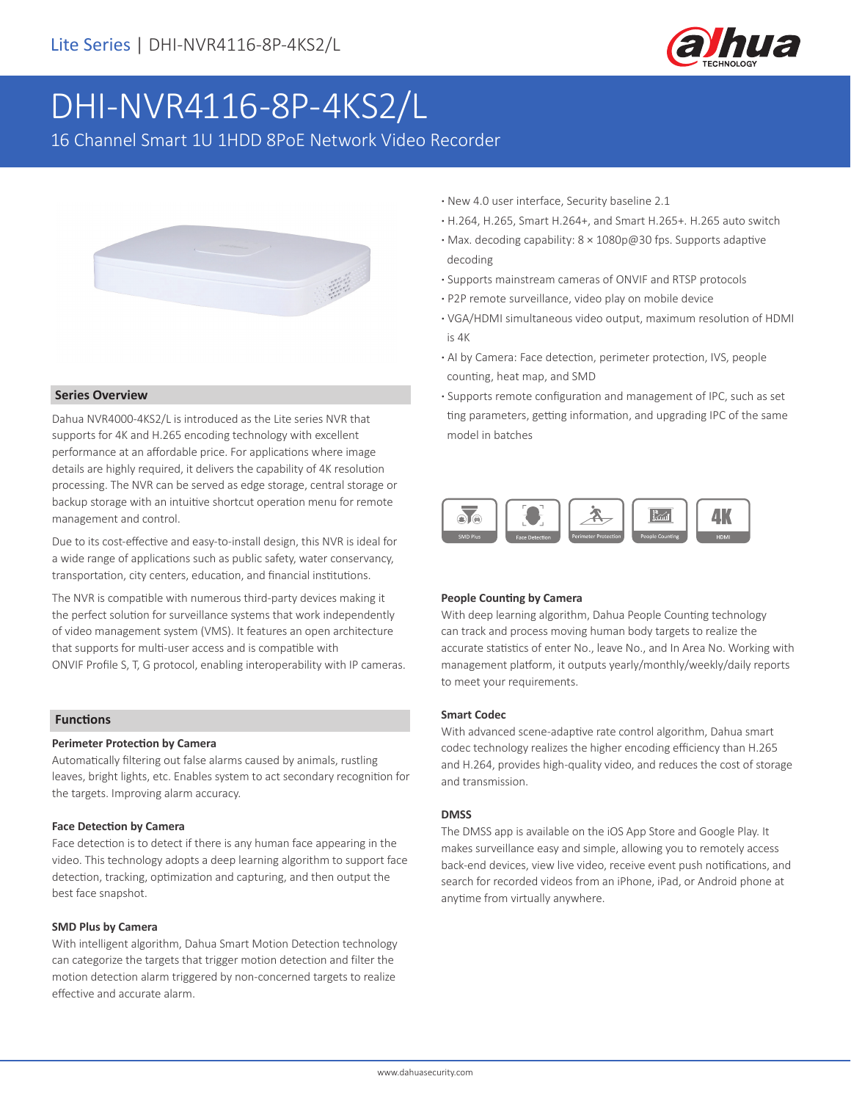

# DHI-NVR4116-8P-4KS2/L

16 Channel Smart 1U 1HDD 8PoE Network Video Recorder



## **Series Overview**

Dahua NVR4000-4KS2/L is introduced as the Lite series NVR that supports for 4K and H.265 encoding technology with excellent performance at an affordable price. For applications where image details are highly required, it delivers the capability of 4K resolution processing. The NVR can be served as edge storage, central storage or backup storage with an intuitive shortcut operation menu for remote management and control.

Due to its cost-effective and easy-to-install design, this NVR is ideal for a wide range of applications such as public safety, water conservancy, transportation, city centers, education, and financial institutions.

The NVR is compatible with numerous third-party devices making it the perfect solution for surveillance systems that work independently of video management system (VMS). It features an open architecture that supports for multi-user access and is compatible with ONVIF Profile S, T, G protocol, enabling interoperability with IP cameras.

## **Functions**

#### **Perimeter Protection by Camera**

Automatically filtering out false alarms caused by animals, rustling leaves, bright lights, etc. Enables system to act secondary recognition for the targets. Improving alarm accuracy.

#### **Face Detection by Camera**

Face detection is to detect if there is any human face appearing in the video. This technology adopts a deep learning algorithm to support face detection, tracking, optimization and capturing, and then output the best face snapshot.

#### **SMD Plus by Camera**

With intelligent algorithm, Dahua Smart Motion Detection technology can categorize the targets that trigger motion detection and filter the motion detection alarm triggered by non-concerned targets to realize effective and accurate alarm.

- **·** New 4.0 user interface, Security baseline 2.1
- **·** H.264, H.265, Smart H.264+, and Smart H.265+. H.265 auto switch
- **·** Max. decoding capability: 8 × 1080p@30 fps. Supports adaptive decoding
- **·** Supports mainstream cameras of ONVIF and RTSP protocols
- **·** P2P remote surveillance, video play on mobile device
- **·** VGA/HDMI simultaneous video output, maximum resolution of HDMI is 4K
- **·** AI by Camera: Face detection, perimeter protection, IVS, people counting, heat map, and SMD
- **·** Supports remote configuration and management of IPC, such as set ting parameters, getting information, and upgrading IPC of the same model in batches



## **People Counting by Camera**

With deep learning algorithm, Dahua People Counting technology can track and process moving human body targets to realize the accurate statistics of enter No., leave No., and In Area No. Working with management platform, it outputs yearly/monthly/weekly/daily reports to meet your requirements.

#### **Smart Codec**

With advanced scene-adaptive rate control algorithm, Dahua smart codec technology realizes the higher encoding efficiency than H.265 and H.264, provides high-quality video, and reduces the cost of storage and transmission.

#### **DMSS**

The DMSS app is available on the iOS App Store and Google Play. It makes surveillance easy and simple, allowing you to remotely access back-end devices, view live video, receive event push notifications, and search for recorded videos from an iPhone, iPad, or Android phone at anytime from virtually anywhere.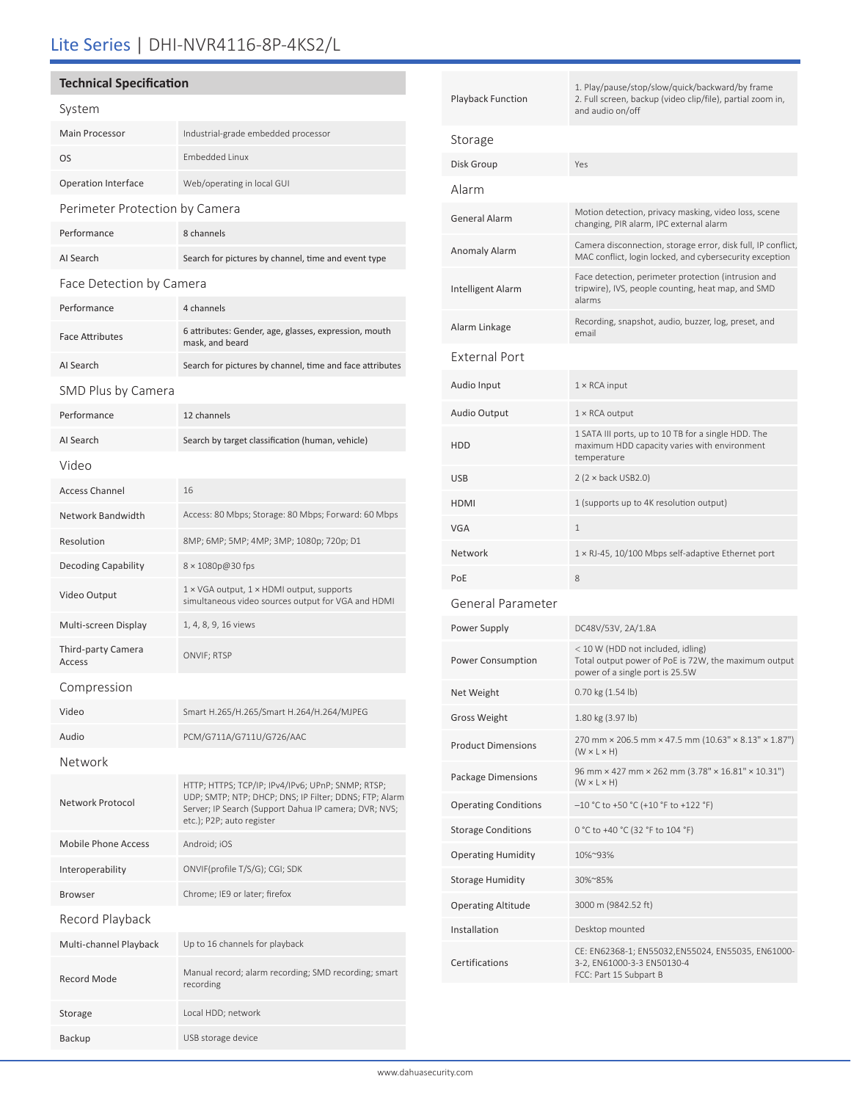# Lite Series | DHI-NVR4116-8P-4KS2/L

# **Technical Specification**

| System                         |                                                                                                                                                                                                   |  |  |
|--------------------------------|---------------------------------------------------------------------------------------------------------------------------------------------------------------------------------------------------|--|--|
| <b>Main Processor</b>          | Industrial-grade embedded processor                                                                                                                                                               |  |  |
| OS                             | <b>Embedded Linux</b>                                                                                                                                                                             |  |  |
| <b>Operation Interface</b>     | Web/operating in local GUI                                                                                                                                                                        |  |  |
| Perimeter Protection by Camera |                                                                                                                                                                                                   |  |  |
| Performance                    | 8 channels                                                                                                                                                                                        |  |  |
| AI Search                      | Search for pictures by channel, time and event type                                                                                                                                               |  |  |
| Face Detection by Camera       |                                                                                                                                                                                                   |  |  |
| Performance                    | 4 channels                                                                                                                                                                                        |  |  |
| <b>Face Attributes</b>         | 6 attributes: Gender, age, glasses, expression, mouth<br>mask, and beard                                                                                                                          |  |  |
| AI Search                      | Search for pictures by channel, time and face attributes                                                                                                                                          |  |  |
| SMD Plus by Camera             |                                                                                                                                                                                                   |  |  |
| Performance                    | 12 channels                                                                                                                                                                                       |  |  |
| AI Search                      | Search by target classification (human, vehicle)                                                                                                                                                  |  |  |
| Video                          |                                                                                                                                                                                                   |  |  |
| <b>Access Channel</b>          | 16                                                                                                                                                                                                |  |  |
| <b>Network Bandwidth</b>       | Access: 80 Mbps; Storage: 80 Mbps; Forward: 60 Mbps                                                                                                                                               |  |  |
| Resolution                     | 8MP; 6MP; 5MP; 4MP; 3MP; 1080p; 720p; D1                                                                                                                                                          |  |  |
| <b>Decoding Capability</b>     | 8 × 1080p@30 fps                                                                                                                                                                                  |  |  |
| Video Output                   | 1 × VGA output, 1 × HDMI output, supports<br>simultaneous video sources output for VGA and HDMI                                                                                                   |  |  |
| Multi-screen Display           | 1, 4, 8, 9, 16 views                                                                                                                                                                              |  |  |
| Third-party Camera<br>Access   | ONVIF; RTSP                                                                                                                                                                                       |  |  |
| Compression                    |                                                                                                                                                                                                   |  |  |
| Video                          | Smart H.265/H.265/Smart H.264/H.264/MJPEG                                                                                                                                                         |  |  |
| Audio                          | PCM/G711A/G711U/G726/AAC                                                                                                                                                                          |  |  |
| Network                        |                                                                                                                                                                                                   |  |  |
| Network Protocol               | HTTP; HTTPS; TCP/IP; IPv4/IPv6; UPnP; SNMP; RTSP;<br>UDP; SMTP; NTP; DHCP; DNS; IP Filter; DDNS; FTP; Alarm<br>Server; IP Search (Support Dahua IP camera; DVR; NVS;<br>etc.); P2P; auto register |  |  |
| Mobile Phone Access            | Android; iOS                                                                                                                                                                                      |  |  |
| Interoperability               | ONVIF(profile T/S/G); CGI; SDK                                                                                                                                                                    |  |  |
| <b>Browser</b>                 | Chrome; IE9 or later; firefox                                                                                                                                                                     |  |  |
| Record Playback                |                                                                                                                                                                                                   |  |  |
| Multi-channel Playback         | Up to 16 channels for playback                                                                                                                                                                    |  |  |
| <b>Record Mode</b>             | Manual record; alarm recording; SMD recording; smart<br>recording                                                                                                                                 |  |  |
| Storage                        | Local HDD; network                                                                                                                                                                                |  |  |

Backup USB storage device

| Playback Function           | 1. Play/pause/stop/slow/quick/backward/by frame<br>2. Full screen, backup (video clip/file), partial zoom in,<br>and audio on/off |  |
|-----------------------------|-----------------------------------------------------------------------------------------------------------------------------------|--|
| Storage                     |                                                                                                                                   |  |
| Disk Group                  | Yes                                                                                                                               |  |
| Alarm                       |                                                                                                                                   |  |
| General Alarm               | Motion detection, privacy masking, video loss, scene<br>changing, PIR alarm, IPC external alarm                                   |  |
| Anomaly Alarm               | Camera disconnection, storage error, disk full, IP conflict,<br>MAC conflict, login locked, and cybersecurity exception           |  |
| Intelligent Alarm           | Face detection, perimeter protection (intrusion and<br>tripwire), IVS, people counting, heat map, and SMD<br>alarms               |  |
| Alarm Linkage               | Recording, snapshot, audio, buzzer, log, preset, and<br>email                                                                     |  |
| External Port               |                                                                                                                                   |  |
| Audio Input                 | $1 \times$ RCA input                                                                                                              |  |
| Audio Output                | $1 \times$ RCA output                                                                                                             |  |
| HDD                         | 1 SATA III ports, up to 10 TB for a single HDD. The<br>maximum HDD capacity varies with environment<br>temperature                |  |
| USB                         | $2 (2 \times back USB2.0)$                                                                                                        |  |
| HDMI                        | 1 (supports up to 4K resolution output)                                                                                           |  |
| VGA                         | $\mathbf{1}$                                                                                                                      |  |
| Network                     | $1 \times R$ J-45, 10/100 Mbps self-adaptive Ethernet port                                                                        |  |
| PoE                         | 8                                                                                                                                 |  |
| General Parameter           |                                                                                                                                   |  |
| Power Supply                | DC48V/53V, 2A/1.8A                                                                                                                |  |
| Power Consumption           | < 10 W (HDD not included, idling)<br>Total output power of PoE is 72W, the maximum output<br>power of a single port is 25.5W      |  |
| Net Weight                  | 0.70 kg (1.54 lb)                                                                                                                 |  |
| <b>Gross Weight</b>         | 1.80 kg (3.97 lb)                                                                                                                 |  |
| <b>Product Dimensions</b>   | 270 mm × 206.5 mm × 47.5 mm (10.63" × 8.13" × 1.87")<br>$(W \times L \times H)$                                                   |  |
| Package Dimensions          | 96 mm × 427 mm × 262 mm (3.78" × 16.81" × 10.31")<br>$(W \times L \times H)$                                                      |  |
| <b>Operating Conditions</b> | $-10$ °C to +50 °C (+10 °F to +122 °F)                                                                                            |  |
| <b>Storage Conditions</b>   | 0 °C to +40 °C (32 °F to 104 °F)                                                                                                  |  |
| Operating Humidity          | 10%~93%                                                                                                                           |  |
| Storage Humidity            | 30%~85%                                                                                                                           |  |
| Operating Altitude          | 3000 m (9842.52 ft)                                                                                                               |  |
| Installation                | Desktop mounted                                                                                                                   |  |
| Certifications              | CE: EN62368-1; EN55032,EN55024, EN55035, EN61000-<br>3-2, EN61000-3-3 EN50130-4<br>FCC: Part 15 Subpart B                         |  |